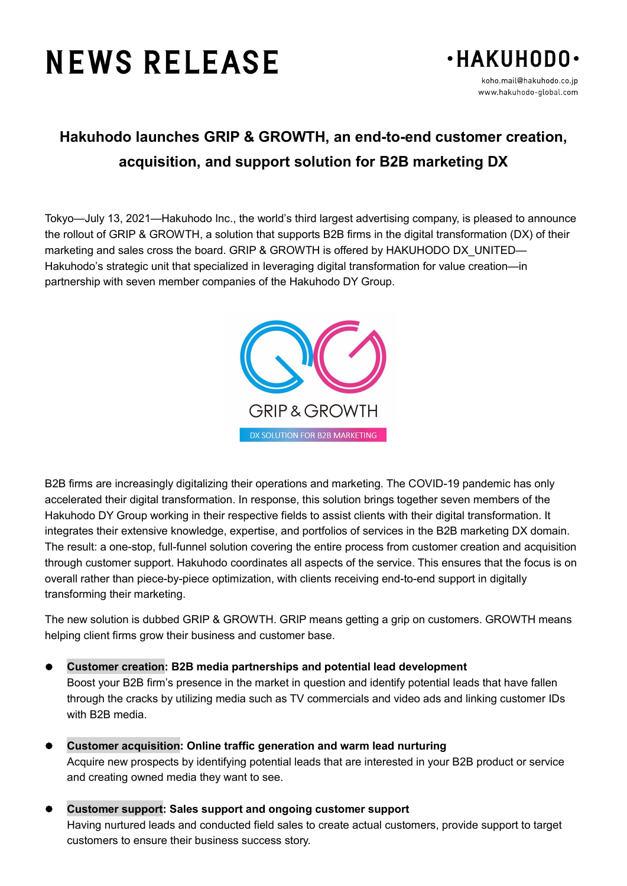# **NEWS RELEASE**



# **Hakuhodo launches GRIP & GROWTH, an end-to-end customer creation, acquisition, and support solution for B2B marketing DX**

Tokyo—July 13, 2021—Hakuhodo Inc., the world's third largest advertising company, is pleased to announce the rollout of GRIP & GROWTH, a solution that supports B2B firms in the digital transformation (DX) of their marketing and sales cross the board. GRIP & GROWTH is offered by HAKUHODO DX\_UNITED— Hakuhodo's strategic unit that specialized in leveraging digital transformation for value creation—in partnership with seven member companies of the Hakuhodo DY Group.



B2B firms are increasingly digitalizing their operations and marketing. The COVID-19 pandemic has only accelerated their digital transformation. In response, this solution brings together seven members of the Hakuhodo DY Group working in their respective fields to assist clients with their digital transformation. It integrates their extensive knowledge, expertise, and portfolios of services in the B2B marketing DX domain. The result: a one-stop, full-funnel solution covering the entire process from customer creation and acquisition through customer support. Hakuhodo coordinates all aspects of the service. This ensures that the focus is on overall rather than piece-by-piece optimization, with clients receiving end-to-end support in digitally transforming their marketing.

The new solution is dubbed GRIP & GROWTH. GRIP means getting a grip on customers. GROWTH means helping client firms grow their business and customer base.

**Customer creation: B2B media partnerships and potential lead development**

Boost your B2B firm's presence in the market in question and identify potential leads that have fallen through the cracks by utilizing media such as TV commercials and video ads and linking customer IDs with B2B media.

- **Customer acquisition: Online traffic generation and warm lead nurturing** Acquire new prospects by identifying potential leads that are interested in your B2B product or service and creating owned media they want to see.
- **Customer support: Sales support and ongoing customer support** Having nurtured leads and conducted field sales to create actual customers, provide support to target customers to ensure their business success story.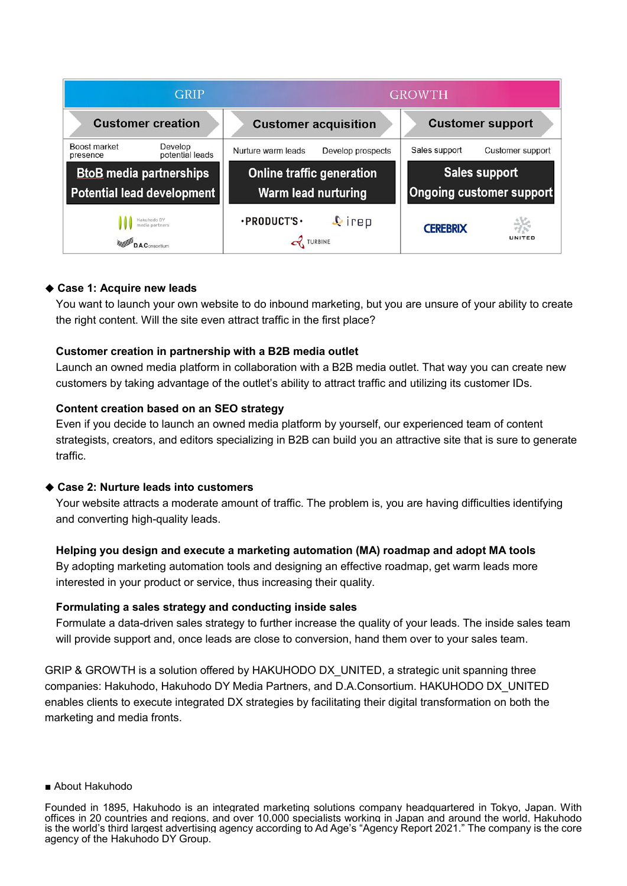

#### ◆ **Case 1: Acquire new leads**

You want to launch your own website to do inbound marketing, but you are unsure of your ability to create the right content. Will the site even attract traffic in the first place?

#### **Customer creation in partnership with a B2B media outlet**

Launch an owned media platform in collaboration with a B2B media outlet. That way you can create new customers by taking advantage of the outlet's ability to attract traffic and utilizing its customer IDs.

#### **Content creation based on an SEO strategy**

Even if you decide to launch an owned media platform by yourself, our experienced team of content strategists, creators, and editors specializing in B2B can build you an attractive site that is sure to generate traffic.

# ◆ **Case 2: Nurture leads into customers**

Your website attracts a moderate amount of traffic. The problem is, you are having difficulties identifying and converting high-quality leads.

# **Helping you design and execute a marketing automation (MA) roadmap and adopt MA tools**

By adopting marketing automation tools and designing an effective roadmap, get warm leads more interested in your product or service, thus increasing their quality.

# **Formulating a sales strategy and conducting inside sales**

Formulate a data-driven sales strategy to further increase the quality of your leads. The inside sales team will provide support and, once leads are close to conversion, hand them over to your sales team.

GRIP & GROWTH is a solution offered by HAKUHODO DX\_UNITED, a strategic unit spanning three companies: Hakuhodo, Hakuhodo DY Media Partners, and D.A.Consortium. HAKUHODO DX\_UNITED enables clients to execute integrated DX strategies by facilitating their digital transformation on both the marketing and media fronts.

■ About Hakuhodo

Founded in 1895, Hakuhodo is an integrated marketing solutions company headquartered in Tokyo, Japan. With offices in 20 countries and regions, and over 10,000 specialists working in Japan and around the world, Hakuhodo is the world's third largest advertising agency according to Ad Age's "Agency Report 2021." The company is the core agency of the Hakuhodo DY Group.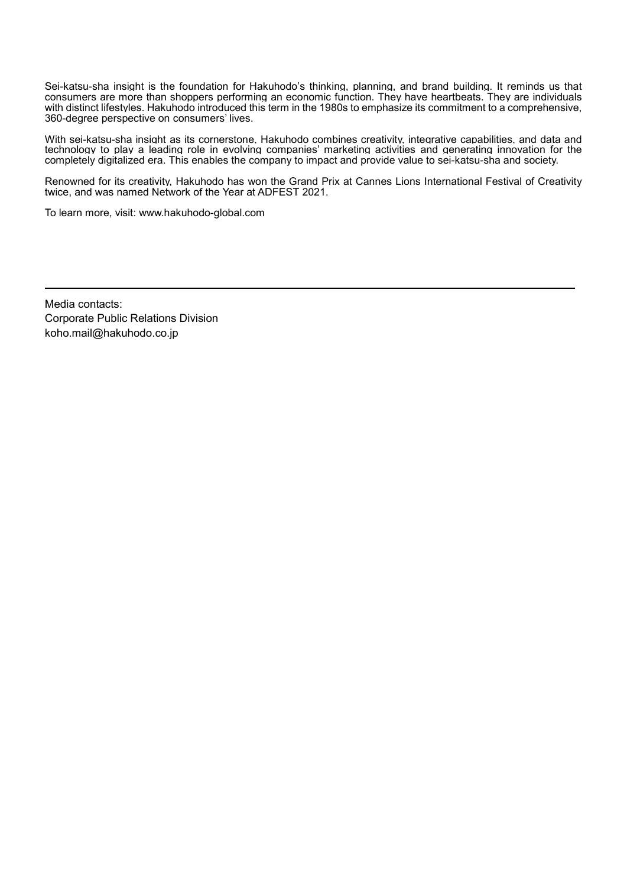Sei-katsu-sha insight is the foundation for Hakuhodo's thinking, planning, and brand building. It reminds us that consumers are more than shoppers performing an economic function. They have heartbeats. They are individuals with distinct lifestyles. Hakuhodo introduced this term in the 1980s to emphasize its commitment to a comprehensive, 360-degree perspective on consumers' lives.

With sei-katsu-sha insight as its cornerstone, Hakuhodo combines creativity, integrative capabilities, and data and technology to play a leading role in evolving companies' marketing activities and generating innovation for the completely digitalized era. This enables the company to impact and provide value to sei-katsu-sha and society.

Renowned for its creativity, Hakuhodo has won the Grand Prix at Cannes Lions International Festival of Creativity twice, and was named Network of the Year at ADFEST 2021.

To learn more, visit: www.hakuhodo-global.com

Media contacts: Corporate Public Relations Division koho.mail@hakuhodo.co.jp